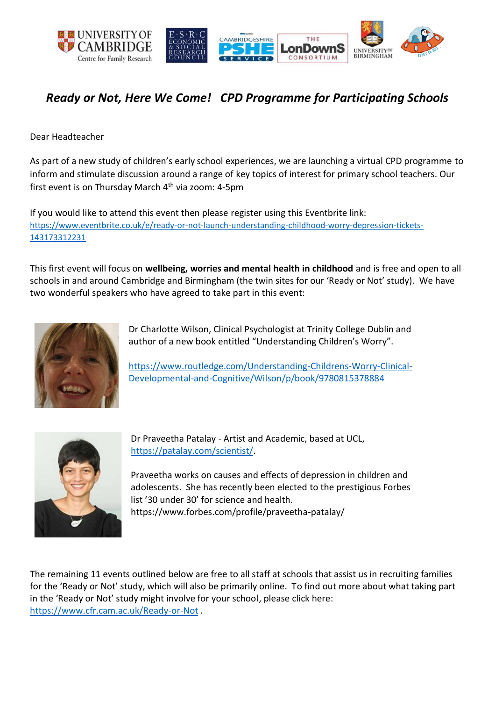

# *Ready or Not, Here We Come! CPD Programme for Participating Schools*

Dear Headteacher

As part of a new study of children's early school experiences, we are launching a virtual CPD programme to inform and stimulate discussion around a range of key topics of interest for primary school teachers. Our first event is on Thursday March  $4<sup>th</sup>$  via zoom: 4-5pm

If you would like to attend this event then please register using this Eventbrite link: [https://www.eventbrite.co.uk/e/ready-or-not-launch-understanding-childhood-worry-depression-tickets-](https://www.eventbrite.co.uk/e/ready-or-not-launch-understanding-childhood-worry-depression-tickets-143173312231)[143173312231](https://www.eventbrite.co.uk/e/ready-or-not-launch-understanding-childhood-worry-depression-tickets-143173312231)

This first event will focus on **wellbeing, worries and mental health in childhood** and is free and open to all schools in and around Cambridge and Birmingham (the twin sites for our 'Ready or Not' study). We have two wonderful speakers who have agreed to take part in this event:



Dr Charlotte Wilson, Clinical Psychologist at Trinity College Dublin and author of a new book entitled "Understanding Children's Worry".

[https://www.routledge.com/Understanding-Childrens-Worry-Clinical-](https://www.routledge.com/Understanding-Childrens-Worry-Clinical-Developmental-and-Cognitive/Wilson/p/book/9780815378884)[Developmental-and-Cognitive/Wilson/p/book/9780815378884](https://www.routledge.com/Understanding-Childrens-Worry-Clinical-Developmental-and-Cognitive/Wilson/p/book/9780815378884)



Dr Praveetha Patalay - Artist and Academic, based at UCL, [https://patalay.com/scientist/.](https://patalay.com/scientist/)

Praveetha works on causes and effects of depression in children and adolescents. She has recently been elected to the prestigious Forbes list '30 under 30' for science and health. https://www.forbes.com/profile/praveetha-patalay/

The remaining 11 events outlined below are free to all staff at schools that assist us in recruiting families for the 'Ready or Not' study, which will also be primarily online. To find out more about what taking part in the 'Ready or Not' study might involve for your school, please click here: <https://www.cfr.cam.ac.uk/Ready-or-Not> .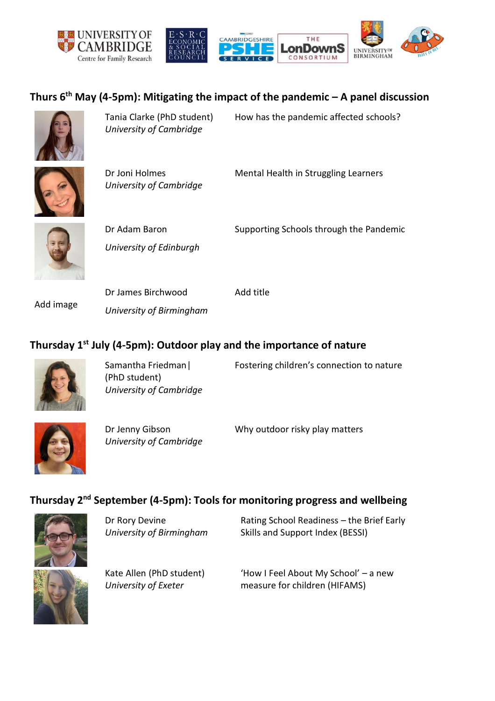



# **Thurs 6th May (4-5pm): Mitigating the impact of the pandemic – A panel discussion**



Tania Clarke (PhD student) *University of Cambridge*

How has the pandemic affected schools?

Dr Joni Holmes *University of Cambridge*

Mental Health in Struggling Learners



Dr Adam Baron *University of Edinburgh*

Supporting Schools through the Pandemic

Add image

Dr James Birchwood *University of Birmingham* Add title

### **Thursday 1st July (4-5pm): Outdoor play and the importance of nature**



Samantha Friedman| (PhD student) *University of Cambridge*

Fostering children's connection to nature



Dr Jenny Gibson *University of Cambridge* Why outdoor risky play matters

## **Thursday 2nd September (4-5pm): Tools for monitoring progress and wellbeing**



Dr Rory Devine *University of Birmingham* Rating School Readiness – the Brief Early Skills and Support Index (BESSI)

Kate Allen (PhD student) *University of Exeter*

'How I Feel About My School' – a new measure for children (HIFAMS)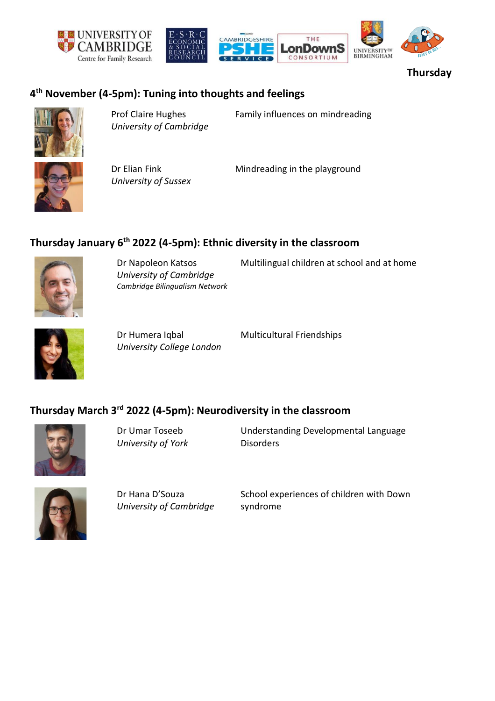





**Thursday** 

#### **4 th November (4-5pm): Tuning into thoughts and feelings**



Prof Claire Hughes *University of Cambridge* Family influences on mindreading

Dr Elian Fink *University of Sussex*

Mindreading in the playground

#### **Thursday January 6th 2022 (4-5pm): Ethnic diversity in the classroom**



Dr Napoleon Katsos *University of Cambridge Cambridge Bilingualism Network* Multilingual children at school and at home



Dr Humera Iqbal *University College London* Multicultural Friendships

#### **Thursday March 3rd 2022 (4-5pm): Neurodiversity in the classroom**



Dr Umar Toseeb *University of York* Understanding Developmental Language **Disorders** 



Dr Hana D'Souza *University of Cambridge* School experiences of children with Down syndrome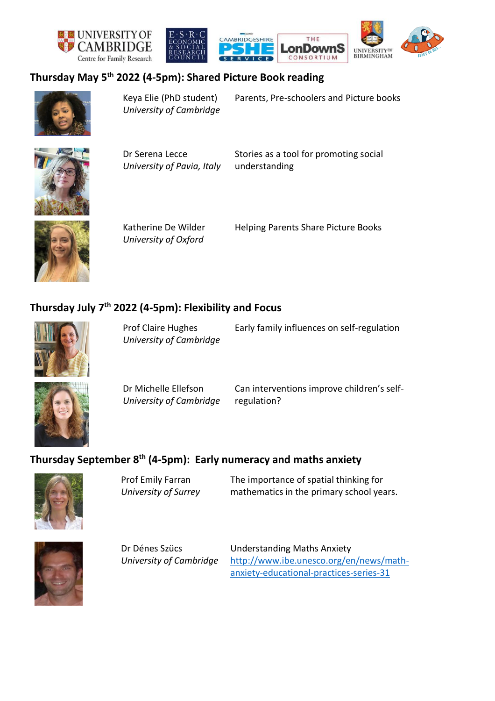





#### **Thursday May 5th 2022 (4-5pm): Shared Picture Book reading**



Keya Elie (PhD student) *University of Cambridge* Parents, Pre-schoolers and Picture books



Dr Serena Lecce *University of Pavia, Italy* Stories as a tool for promoting social understanding



Katherine De Wilder *University of Oxford*

Helping Parents Share Picture Books

## **Thursday July 7th 2022 (4-5pm): Flexibility and Focus**



Prof Claire Hughes *University of Cambridge* Early family influences on self-regulation



Dr Michelle Ellefson *University of Cambridge* Can interventions improve children's selfregulation?

# **Thursday September 8th (4-5pm): Early numeracy and maths anxiety**



Prof Emily Farran *University of Surrey* The importance of spatial thinking for mathematics in the primary school years.



Dr Dénes Szücs *University of Cambridge* Understanding Maths Anxiety [http://www.ibe.unesco.org/en/news/math](http://www.ibe.unesco.org/en/news/math-anxiety-educational-practices-series-31)[anxiety-educational-practices-series-31](http://www.ibe.unesco.org/en/news/math-anxiety-educational-practices-series-31)